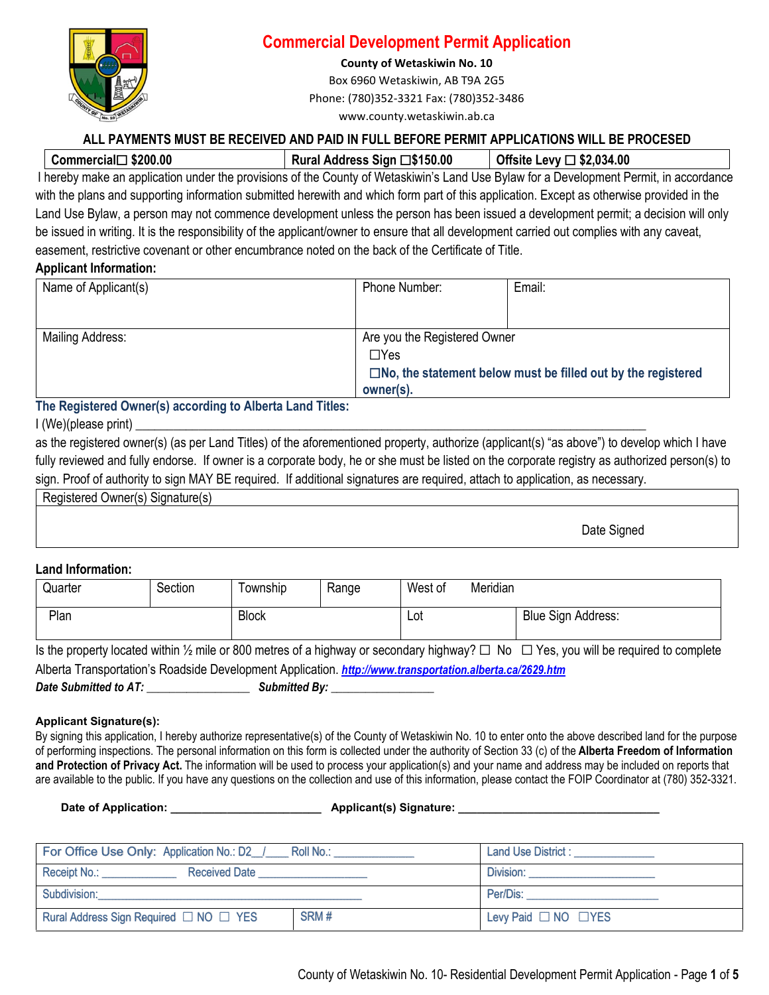

### **Commercial Development Permit Application**

**County of Wetaskiwin No. 10** 

Box 6960 Wetaskiwin, AB T9A 2G5 Phone: (780)352-3321 Fax: (780)352-3486 www.county.wetaskiwin.ab.ca

### **ALL PAYMENTS MUST BE RECEIVED AND PAID IN FULL BEFORE PERMIT APPLICATIONS WILL BE PROCESED**

| \$200.00<br>∴iall∶ |  |  |  | コ\$150.00<br>ress Sian I |        |   |  |  |   | \$2,034.00<br>AW |  |  |  |  |  |  |
|--------------------|--|--|--|--------------------------|--------|---|--|--|---|------------------|--|--|--|--|--|--|
| .                  |  |  |  | .                        | $\sim$ | . |  |  | . | - -              |  |  |  |  |  |  |

I hereby make an application under the provisions of the County of Wetaskiwin's Land Use Bylaw for a Development Permit, in accordance with the plans and supporting information submitted herewith and which form part of this application. Except as otherwise provided in the Land Use Bylaw, a person may not commence development unless the person has been issued a development permit; a decision will only be issued in writing. It is the responsibility of the applicant/owner to ensure that all development carried out complies with any caveat, easement, restrictive covenant or other encumbrance noted on the back of the Certificate of Title.

### **Applicant Information:**

| Name of Applicant(s)    | Phone Number:                | Email:                                                                 |  |  |  |
|-------------------------|------------------------------|------------------------------------------------------------------------|--|--|--|
|                         |                              |                                                                        |  |  |  |
| <b>Mailing Address:</b> | Are you the Registered Owner |                                                                        |  |  |  |
|                         | $\Box$ Yes                   |                                                                        |  |  |  |
|                         |                              | $\square$ No, the statement below must be filled out by the registered |  |  |  |
|                         | owner(s).                    |                                                                        |  |  |  |

### **The Registered Owner(s) according to Alberta Land Titles:**

### $I$  (We)(please print)

as the registered owner(s) (as per Land Titles) of the aforementioned property, authorize (applicant(s) "as above") to develop which I have fully reviewed and fully endorse. If owner is a corporate body, he or she must be listed on the corporate registry as authorized person(s) to sign. Proof of authority to sign MAY BE required. If additional signatures are required, attach to application, as necessary.

Registered Owner(s) Signature(s)

Date Signed

### **Land Information:**

| Quarter                                                                                                                                                   | Section | Township     | Range | West of | Meridian           |  |  |  |  |
|-----------------------------------------------------------------------------------------------------------------------------------------------------------|---------|--------------|-------|---------|--------------------|--|--|--|--|
| Plan                                                                                                                                                      |         | <b>Block</b> | ∟ot   |         | Blue Sign Address: |  |  |  |  |
| Is the property located within $\frac{1}{2}$ mile or 800 metres of a highway or secondary highway? $\Box$ No $\Box$ Yes, you will be required to complete |         |              |       |         |                    |  |  |  |  |

Alberta Transportation's Roadside Development Application. *<http://www.transportation.alberta.ca/2629.htm> Date Submitted to AT: \_\_\_\_\_\_\_\_\_\_\_\_\_\_\_\_\_\_ Submitted By: \_\_\_\_\_\_\_\_\_\_\_\_\_\_\_\_\_\_* 

### **Applicant Signature(s):**

By signing this application. I hereby authorize representative(s) of the County of Wetaskiwin No. 10 to enter onto the above described land for the purpose of performing inspections. The personal information on this form is collected under the authority of Section 33 (c) of the **Alberta Freedom of Information and Protection of Privacy Act.** The information will be used to process your application(s) and your name and address may be included on reports that are available to the public. If you have any questions on the collection and use of this information, please contact the FOIP Coordinator at (780) 352-3321.

**Date of Application: Contract Applicant Applicant (s) Signature: Contract Applicant Applicant (s) Signature: Applicant** (s) Signature:

| For Office Use Only: Application No.: D2 / Roll No.: | Land Use District : __________ |                                |  |  |  |
|------------------------------------------------------|--------------------------------|--------------------------------|--|--|--|
| Receipt No.: ___________<br>Received Date            |                                | Division:                      |  |  |  |
| Subdivision:                                         |                                | Per/Dis:                       |  |  |  |
| Rural Address Sign Required □ NO □ YES               | SRM#                           | Levy Paid $\Box$ NO $\Box$ YES |  |  |  |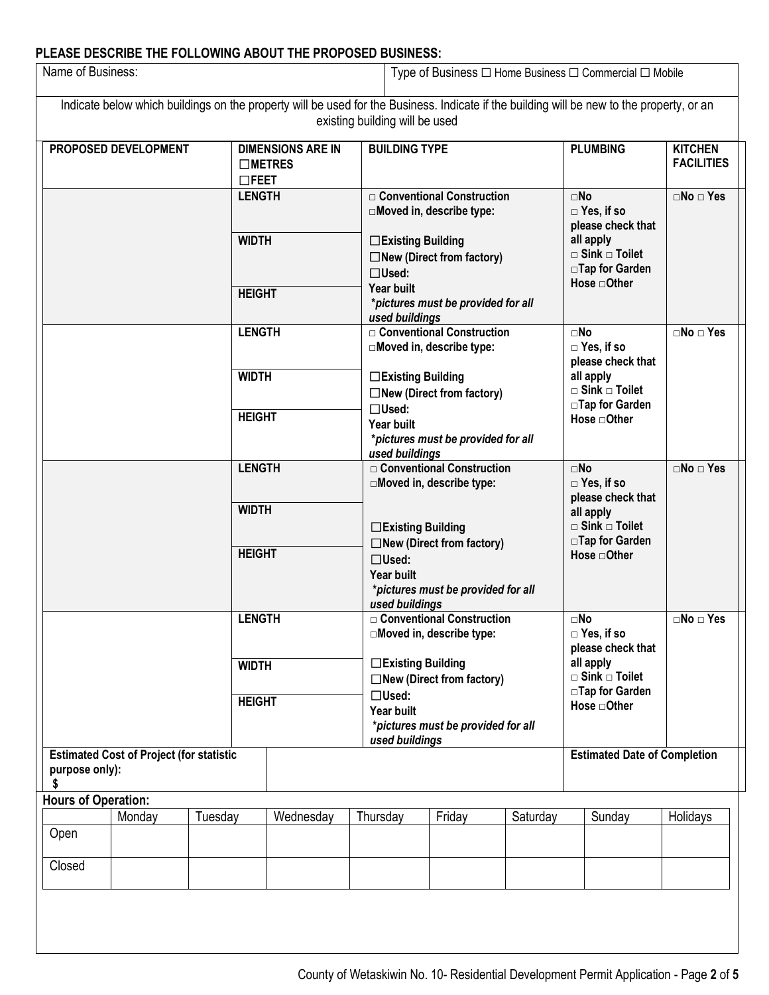# **PLEASE DESCRIBE THE FOLLOWING ABOUT THE PROPOSED BUSINESS:**

| Name of Business:                                                       |               |               |                                                                                                                        |                                                        |                                                                                    | Type of Business $\Box$ Home Business $\Box$ Commercial $\Box$ Mobile |                                                                 |                                                                                                                                           |                                                                   |  |  |
|-------------------------------------------------------------------------|---------------|---------------|------------------------------------------------------------------------------------------------------------------------|--------------------------------------------------------|------------------------------------------------------------------------------------|-----------------------------------------------------------------------|-----------------------------------------------------------------|-------------------------------------------------------------------------------------------------------------------------------------------|-------------------------------------------------------------------|--|--|
|                                                                         |               |               |                                                                                                                        |                                                        | existing building will be used                                                     |                                                                       |                                                                 | Indicate below which buildings on the property will be used for the Business. Indicate if the building will be new to the property, or an |                                                                   |  |  |
| PROPOSED DEVELOPMENT<br>$\square$ METRES<br>$\Box$ FEET                 |               |               |                                                                                                                        | <b>DIMENSIONS ARE IN</b>                               | <b>BUILDING TYPE</b>                                                               |                                                                       |                                                                 | <b>PLUMBING</b>                                                                                                                           | <b>KITCHEN</b><br><b>FACILITIES</b><br>$\square$ No $\square$ Yes |  |  |
|                                                                         |               |               | <b>LENGTH</b>                                                                                                          |                                                        |                                                                                    | □ Conventional Construction<br>□Moved in, describe type:              | $\square$ No<br>$\Box$ Yes, if so<br>please check that          |                                                                                                                                           |                                                                   |  |  |
|                                                                         |               |               | <b>WIDTH</b>                                                                                                           |                                                        | □Existing Building<br>$\Box$ Used:                                                 | $\Box$ New (Direct from factory)                                      | all apply<br>$\square$ Sink $\square$ Toilet<br>□Tap for Garden |                                                                                                                                           |                                                                   |  |  |
|                                                                         |               |               | <b>HEIGHT</b>                                                                                                          |                                                        | <b>Year built</b><br>*pictures must be provided for all<br>used buildings          |                                                                       |                                                                 | Hose <b>□</b> Other                                                                                                                       |                                                                   |  |  |
|                                                                         |               |               | <b>LENGTH</b>                                                                                                          |                                                        |                                                                                    | □ Conventional Construction<br>□Moved in, describe type:              | $\square$ No<br>$\Box$ Yes, if so<br>please check that          | $\square$ No $\square$ Yes                                                                                                                |                                                                   |  |  |
|                                                                         |               |               | <b>WIDTH</b>                                                                                                           |                                                        |                                                                                    | □Existing Building<br>$\Box$ New (Direct from factory)                |                                                                 |                                                                                                                                           |                                                                   |  |  |
|                                                                         |               |               | <b>HEIGHT</b>                                                                                                          |                                                        | $\Box$ Used:<br>Year built<br>used buildings                                       | *pictures must be provided for all                                    | □Tap for Garden<br>Hose <b>□</b> Other                          |                                                                                                                                           |                                                                   |  |  |
|                                                                         |               | <b>LENGTH</b> |                                                                                                                        |                                                        |                                                                                    | □ Conventional Construction<br>□Moved in, describe type:              | $\square$ No<br>$\Box$ Yes, if so<br>please check that          | $\square$ No $\square$ Yes                                                                                                                |                                                                   |  |  |
|                                                                         |               |               | <b>WIDTH</b>                                                                                                           |                                                        | □Existing Building                                                                 |                                                                       | all apply<br>$\Box$ Sink $\Box$ Toilet<br>□Tap for Garden       |                                                                                                                                           |                                                                   |  |  |
|                                                                         | <b>HEIGHT</b> |               | $\Box$ New (Direct from factory)<br>$\Box$ Used:<br>Year built<br>*pictures must be provided for all<br>used buildings |                                                        |                                                                                    |                                                                       | Hose <b>□</b> Other                                             |                                                                                                                                           |                                                                   |  |  |
|                                                                         |               |               | <b>LENGTH</b>                                                                                                          |                                                        | □ Conventional Construction<br>$\Box$ Moved in, describe type:                     |                                                                       |                                                                 | $\square$ No<br>$\Box$ Yes, if so<br>please check that                                                                                    | $\square$ No $\square$ Yes                                        |  |  |
|                                                                         |               | <b>WIDTH</b>  |                                                                                                                        | □Existing Building<br>$\Box$ New (Direct from factory) |                                                                                    |                                                                       | all apply<br>$\square$ Sink $\square$ Toilet<br>□Tap for Garden |                                                                                                                                           |                                                                   |  |  |
|                                                                         |               |               | <b>HEIGHT</b>                                                                                                          |                                                        | $\Box$ Used:<br>Year built<br>*pictures must be provided for all<br>used buildings |                                                                       |                                                                 | Hose <b>□</b> Other                                                                                                                       |                                                                   |  |  |
| <b>Estimated Cost of Project (for statistic</b><br>purpose only):<br>\$ |               |               |                                                                                                                        |                                                        |                                                                                    |                                                                       |                                                                 | <b>Estimated Date of Completion</b>                                                                                                       |                                                                   |  |  |
| <b>Hours of Operation:</b>                                              |               |               |                                                                                                                        |                                                        |                                                                                    |                                                                       |                                                                 |                                                                                                                                           |                                                                   |  |  |
| Open                                                                    | Monday        | Tuesday       |                                                                                                                        | Wednesday                                              | Thursday                                                                           | Friday                                                                | Saturday                                                        | Sunday                                                                                                                                    | Holidays                                                          |  |  |
| Closed                                                                  |               |               |                                                                                                                        |                                                        |                                                                                    |                                                                       |                                                                 |                                                                                                                                           |                                                                   |  |  |
|                                                                         |               |               |                                                                                                                        |                                                        |                                                                                    |                                                                       |                                                                 |                                                                                                                                           |                                                                   |  |  |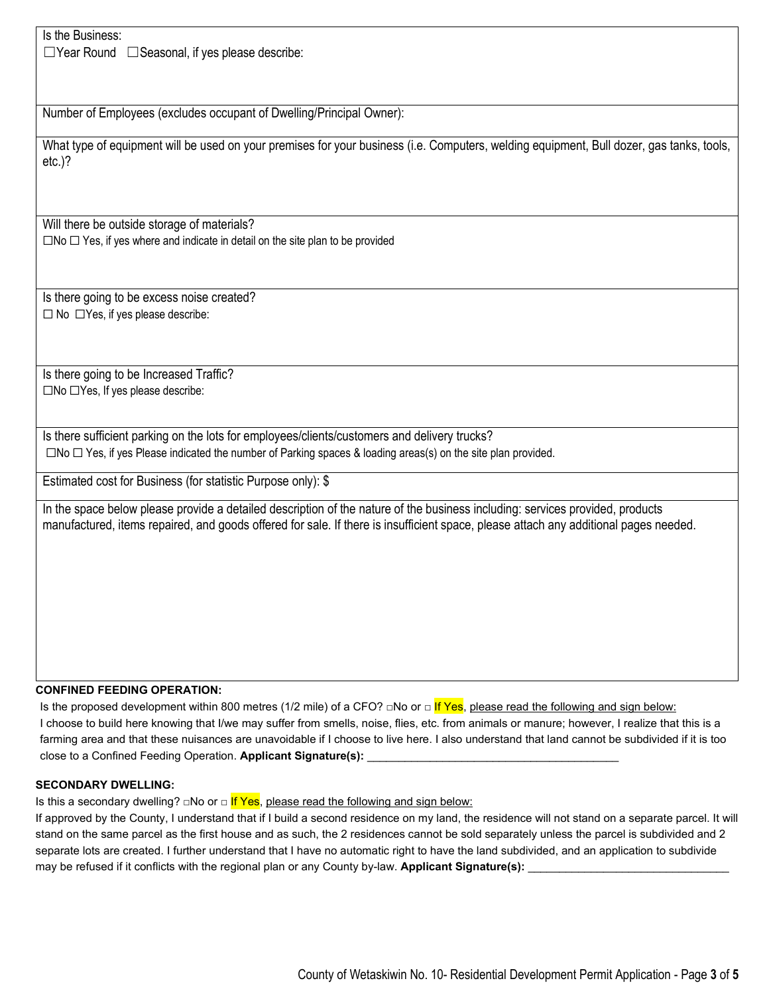Is the Business:

☐Year Round ☐Seasonal, if yes please describe:

Number of Employees (excludes occupant of Dwelling/Principal Owner):

What type of equipment will be used on your premises for your business (i.e. Computers, welding equipment, Bull dozer, gas tanks, tools, etc.)?

Will there be outside storage of materials? ☐No ☐ Yes, if yes where and indicate in detail on the site plan to be provided

Is there going to be excess noise created? ☐ No ☐Yes, if yes please describe:

Is there going to be Increased Traffic? ☐No ☐Yes, If yes please describe:

Is there sufficient parking on the lots for employees/clients/customers and delivery trucks? ☐No ☐ Yes, if yes Please indicated the number of Parking spaces & loading areas(s) on the site plan provided.

Estimated cost for Business (for statistic Purpose only): \$

In the space below please provide a detailed description of the nature of the business including: services provided, products manufactured, items repaired, and goods offered for sale. If there is insufficient space, please attach any additional pages needed.

#### **CONFINED FEEDING OPERATION:**

Is the proposed development within 800 metres (1/2 mile) of a CFO?  $\square$ No or  $\square$  If Yes, please read the following and sign below: I choose to build here knowing that I/we may suffer from smells, noise, flies, etc. from animals or manure; however, I realize that this is a farming area and that these nuisances are unavoidable if I choose to live here. I also understand that land cannot be subdivided if it is too close to a Confined Feeding Operation. Applicant Signature(s):

#### **SECONDARY DWELLING:**

Is this a secondary dwelling? □No or □ If Yes, please read the following and sign below:

If approved by the County, I understand that if I build a second residence on my land, the residence will not stand on a separate parcel. It will stand on the same parcel as the first house and as such, the 2 residences cannot be sold separately unless the parcel is subdivided and 2 separate lots are created. I further understand that I have no automatic right to have the land subdivided, and an application to subdivide may be refused if it conflicts with the regional plan or any County by-law. Applicant Signature(s):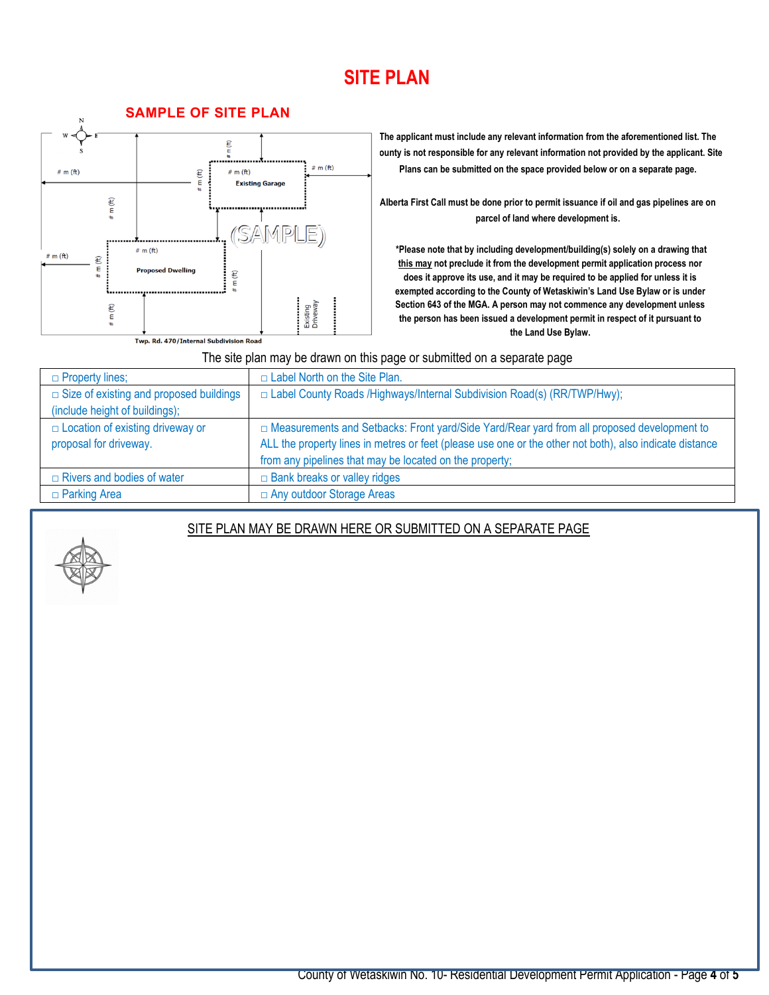### **SITE PLAN**



**The applicant must include any relevant information from the aforementioned list. The County is not responsible for any relevant information not provided by the applicant. Site Plans can be submitted on the space provided below or on a separate page.** 

**Alberta First Call must be done prior to permit issuance if oil and gas pipelines are on parcel of land where development is.** 

 **\*Please note that by including development/building(s) solely on a drawing that this may not preclude it from the development permit application process nor does it approve its use, and it may be required to be applied for unless it is exempted according to the County of Wetaskiwin's Land Use Bylaw or is under Section 643 of the MGA. A person may not commence any development unless the person has been issued a development permit in respect of it pursuant to the Land Use Bylaw.** 

The site plan may be drawn on this page or submitted on a separate page

| $\Box$ Property lines;                         | $\Box$ Label North on the Site Plan.                                                                    |  |  |  |  |  |
|------------------------------------------------|---------------------------------------------------------------------------------------------------------|--|--|--|--|--|
| $\Box$ Size of existing and proposed buildings | □ Label County Roads /Highways/Internal Subdivision Road(s) (RR/TWP/Hwy);                               |  |  |  |  |  |
| (include height of buildings);                 |                                                                                                         |  |  |  |  |  |
| $\Box$ Location of existing driveway or        | □ Measurements and Setbacks: Front yard/Side Yard/Rear yard from all proposed development to            |  |  |  |  |  |
| proposal for driveway.                         | ALL the property lines in metres or feet (please use one or the other not both), also indicate distance |  |  |  |  |  |
|                                                | from any pipelines that may be located on the property;                                                 |  |  |  |  |  |
| $\Box$ Rivers and bodies of water              | $\Box$ Bank breaks or valley ridges                                                                     |  |  |  |  |  |
| $\Box$ Parking Area                            | □ Any outdoor Storage Areas                                                                             |  |  |  |  |  |

### SITE PLAN MAY BE DRAWN HERE OR SUBMITTED ON A SEPARATE PAGE